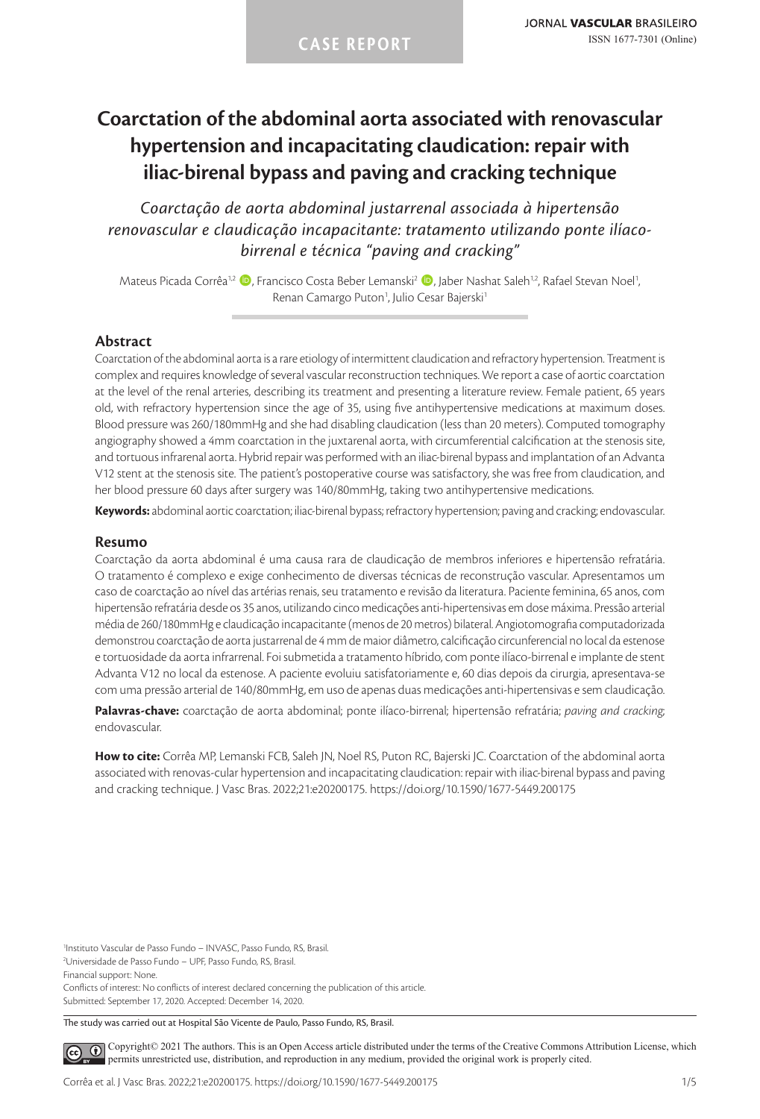# **Coarctation of the abdominal aorta associated with renovascular hypertension and incapacitating claudication: repair with iliac-birenal bypass and paving and cracking technique**

*Coarctação de aorta abdominal justarrenal associada à hipertensão renovascular e claudicação incapacitante: tratamento utilizando ponte ilíacobirrenal e técnica "paving and cracking"*

Mateus Picada Corrêa<sup>1,2</sup> (D, Francisco Costa Beber Lemanski<sup>2</sup> (D), Jaber Nashat Saleh<sup>1,2</sup>, Rafael Stevan Noel<sup>1</sup>, .<br>י Renan Camargo Puton<sup>1</sup>, Julio Cesar Bajerski<sup>1</sup>

# **Abstract**

Coarctation of the abdominal aorta is a rare etiology of intermittent claudication and refractory hypertension. Treatment is complex and requires knowledge of several vascular reconstruction techniques. We report a case of aortic coarctation at the level of the renal arteries, describing its treatment and presenting a literature review. Female patient, 65 years old, with refractory hypertension since the age of 35, using five antihypertensive medications at maximum doses. Blood pressure was 260/180mmHg and she had disabling claudication (less than 20 meters). Computed tomography angiography showed a 4mm coarctation in the juxtarenal aorta, with circumferential calcification at the stenosis site, and tortuous infrarenal aorta. Hybrid repair was performed with an iliac-birenal bypass and implantation of an Advanta V12 stent at the stenosis site. The patient's postoperative course was satisfactory, she was free from claudication, and her blood pressure 60 days after surgery was 140/80mmHg, taking two antihypertensive medications.

**Keywords:** abdominal aortic coarctation; iliac-birenal bypass; refractory hypertension; paving and cracking; endovascular.

### **Resumo**

Coarctação da aorta abdominal é uma causa rara de claudicação de membros inferiores e hipertensão refratária. O tratamento é complexo e exige conhecimento de diversas técnicas de reconstrução vascular. Apresentamos um caso de coarctação ao nível das artérias renais, seu tratamento e revisão da literatura. Paciente feminina, 65 anos, com hipertensão refratária desde os 35 anos, utilizando cinco medicações anti-hipertensivas em dose máxima. Pressão arterial média de 260/180mmHg e claudicação incapacitante (menos de 20 metros) bilateral. Angiotomografia computadorizada demonstrou coarctação de aorta justarrenal de 4 mm de maior diâmetro, calcificação circunferencial no local da estenose e tortuosidade da aorta infrarrenal. Foi submetida a tratamento híbrido, com ponte ilíaco-birrenal e implante de stent Advanta V12 no local da estenose. A paciente evoluiu satisfatoriamente e, 60 dias depois da cirurgia, apresentava-se com uma pressão arterial de 140/80mmHg, em uso de apenas duas medicações anti-hipertensivas e sem claudicação.

**Palavras-chave:** coarctação de aorta abdominal; ponte ilíaco-birrenal; hipertensão refratária; *paving and cracking*; endovascular.

**How to cite:** Corrêa MP, Lemanski FCB, Saleh JN, Noel RS, Puton RC, Bajerski JC. Coarctation of the abdominal aorta associated with renovas-cular hypertension and incapacitating claudication: repair with iliac-birenal bypass and paving and cracking technique. J Vasc Bras. 2022;21:e20200175. https://doi.org/10.1590/1677-5449.200175

1 Instituto Vascular de Passo Fundo – INVASC, Passo Fundo, RS, Brasil. 2 Universidade de Passo Fundo – UPF, Passo Fundo, RS, Brasil.

Financial support: None.

Conflicts of interest: No conflicts of interest declared concerning the publication of this article. Submitted: September 17, 2020. Accepted: December 14, 2020.

The study was carried out at Hospital São Vicente de Paulo, Passo Fundo, RS, Brasil.

[C](https://creativecommons.org/licenses/by/4.0/)opyright© 2021 The authors. This is an Open Access article distributed under the terms of the Creative Commons Attribution License, which  $\odot$ permits unrestricted use, distribution, and reproduction in any medium, provided the original work is properly cited.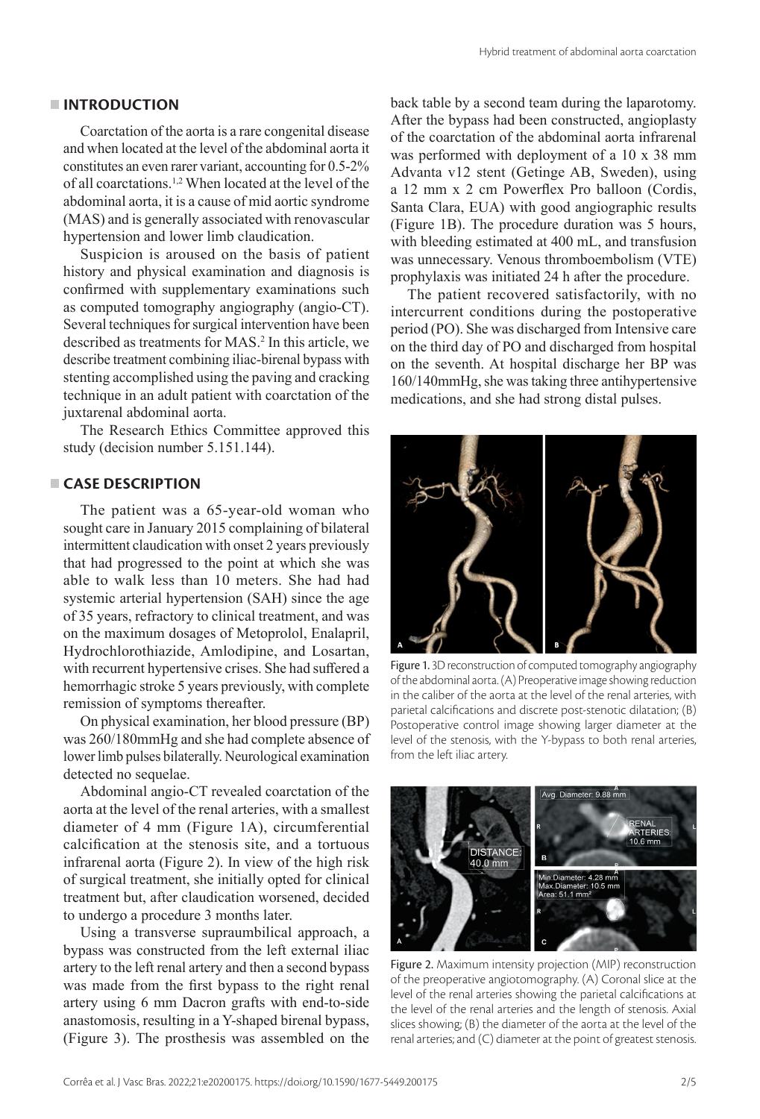# **INTRODUCTION**

Coarctation of the aorta is a rare congenital disease and when located at the level of the abdominal aorta it constitutes an even rarer variant, accounting for 0.5-2% of all coarctations.1,2 When located at the level of the abdominal aorta, it is a cause of mid aortic syndrome (MAS) and is generally associated with renovascular hypertension and lower limb claudication.

Suspicion is aroused on the basis of patient history and physical examination and diagnosis is confirmed with supplementary examinations such as computed tomography angiography (angio-CT). Several techniques for surgical intervention have been described as treatments for MAS.2 In this article, we describe treatment combining iliac-birenal bypass with stenting accomplished using the paving and cracking technique in an adult patient with coarctation of the juxtarenal abdominal aorta.

The Research Ethics Committee approved this study (decision number 5.151.144).

# **CASE DESCRIPTION**

The patient was a 65-year-old woman who sought care in January 2015 complaining of bilateral intermittent claudication with onset 2 years previously that had progressed to the point at which she was able to walk less than 10 meters. She had had systemic arterial hypertension (SAH) since the age of 35 years, refractory to clinical treatment, and was on the maximum dosages of Metoprolol, Enalapril, Hydrochlorothiazide, Amlodipine, and Losartan, with recurrent hypertensive crises. She had suffered a hemorrhagic stroke 5 years previously, with complete remission of symptoms thereafter.

On physical examination, her blood pressure (BP) was 260/180mmHg and she had complete absence of lower limb pulses bilaterally. Neurological examination detected no sequelae.

Abdominal angio-CT revealed coarctation of the aorta at the level of the renal arteries, with a smallest diameter of 4 mm (Figure 1A), circumferential calcification at the stenosis site, and a tortuous infrarenal aorta (Figure 2). In view of the high risk of surgical treatment, she initially opted for clinical treatment but, after claudication worsened, decided to undergo a procedure 3 months later.

Using a transverse supraumbilical approach, a bypass was constructed from the left external iliac artery to the left renal artery and then a second bypass was made from the first bypass to the right renal artery using 6 mm Dacron grafts with end-to-side anastomosis, resulting in a Y-shaped birenal bypass, (Figure 3). The prosthesis was assembled on the back table by a second team during the laparotomy. After the bypass had been constructed, angioplasty of the coarctation of the abdominal aorta infrarenal was performed with deployment of a 10 x 38 mm Advanta v12 stent (Getinge AB, Sweden), using a 12 mm x 2 cm Powerflex Pro balloon (Cordis, Santa Clara, EUA) with good angiographic results (Figure 1B). The procedure duration was 5 hours, with bleeding estimated at 400 mL, and transfusion was unnecessary. Venous thromboembolism (VTE) prophylaxis was initiated 24 h after the procedure.

The patient recovered satisfactorily, with no intercurrent conditions during the postoperative period (PO). She was discharged from Intensive care on the third day of PO and discharged from hospital on the seventh. At hospital discharge her BP was 160/140mmHg, she was taking three antihypertensive medications, and she had strong distal pulses.



Figure 1. 3D reconstruction of computed tomography angiography of the abdominal aorta. (A) Preoperative image showing reduction in the caliber of the aorta at the level of the renal arteries, with parietal calcifications and discrete post-stenotic dilatation; (B) Postoperative control image showing larger diameter at the level of the stenosis, with the Y-bypass to both renal arteries, from the left iliac artery.



Figure 2. Maximum intensity projection (MIP) reconstruction of the preoperative angiotomography. (A) Coronal slice at the level of the renal arteries showing the parietal calcifications at the level of the renal arteries and the length of stenosis. Axial slices showing; (B) the diameter of the aorta at the level of the renal arteries; and (C) diameter at the point of greatest stenosis.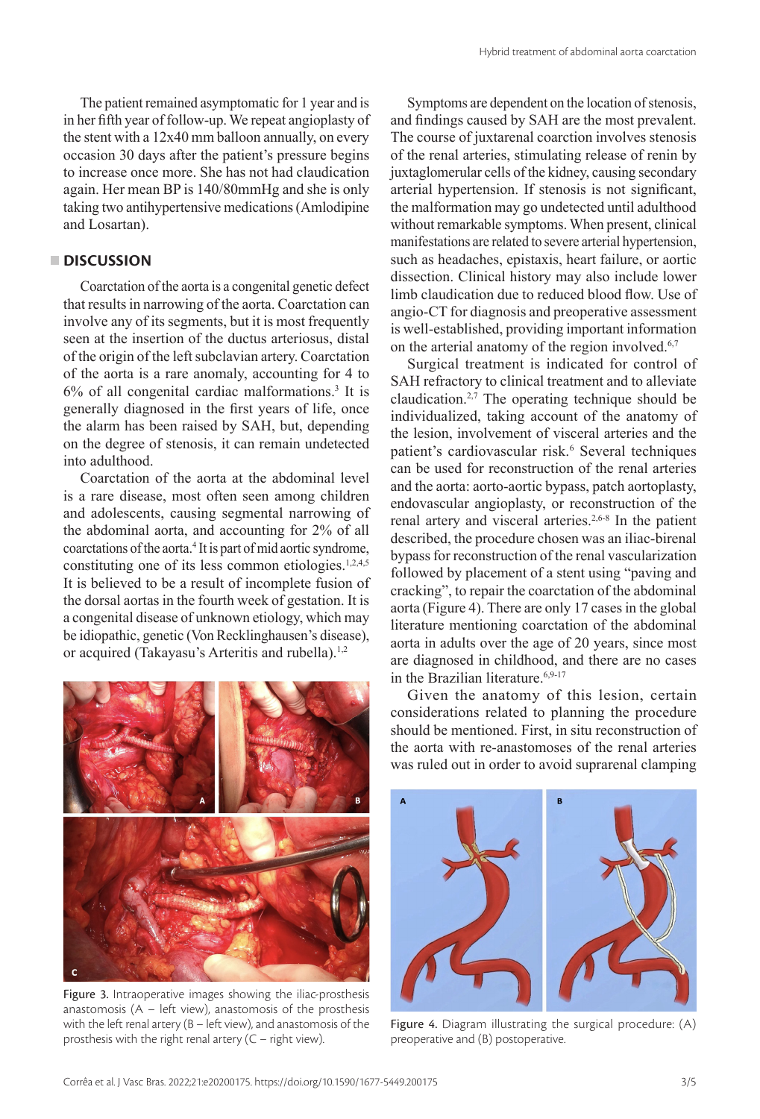The patient remained asymptomatic for 1 year and is in her fifth year of follow-up. We repeat angioplasty of the stent with a 12x40 mm balloon annually, on every occasion 30 days after the patient's pressure begins to increase once more. She has not had claudication again. Her mean BP is 140/80mmHg and she is only taking two antihypertensive medications (Amlodipine and Losartan).

# **DISCUSSION**

Coarctation of the aorta is a congenital genetic defect that results in narrowing of the aorta. Coarctation can involve any of its segments, but it is most frequently seen at the insertion of the ductus arteriosus, distal of the origin of the left subclavian artery. Coarctation of the aorta is a rare anomaly, accounting for 4 to 6% of all congenital cardiac malformations.3 It is generally diagnosed in the first years of life, once the alarm has been raised by SAH, but, depending on the degree of stenosis, it can remain undetected into adulthood.

Coarctation of the aorta at the abdominal level is a rare disease, most often seen among children and adolescents, causing segmental narrowing of the abdominal aorta, and accounting for 2% of all coarctations of the aorta.4 It is part of mid aortic syndrome, constituting one of its less common etiologies.<sup>1,2,4,5</sup> It is believed to be a result of incomplete fusion of the dorsal aortas in the fourth week of gestation. It is a congenital disease of unknown etiology, which may be idiopathic, genetic (Von Recklinghausen's disease), or acquired (Takayasu's Arteritis and rubella).<sup>1,2</sup>



Figure 3. Intraoperative images showing the iliac-prosthesis anastomosis  $(A - left$  view), anastomosis of the prosthesis with the left renal artery (B – left view), and anastomosis of the prosthesis with the right renal artery (C – right view).

Symptoms are dependent on the location of stenosis, and findings caused by SAH are the most prevalent. The course of juxtarenal coarction involves stenosis of the renal arteries, stimulating release of renin by juxtaglomerular cells of the kidney, causing secondary arterial hypertension. If stenosis is not significant, the malformation may go undetected until adulthood without remarkable symptoms. When present, clinical manifestations are related to severe arterial hypertension, such as headaches, epistaxis, heart failure, or aortic dissection. Clinical history may also include lower limb claudication due to reduced blood flow. Use of angio-CT for diagnosis and preoperative assessment is well-established, providing important information on the arterial anatomy of the region involved.<sup>6,7</sup>

Surgical treatment is indicated for control of SAH refractory to clinical treatment and to alleviate claudication.<sup>2,7</sup> The operating technique should be individualized, taking account of the anatomy of the lesion, involvement of visceral arteries and the patient's cardiovascular risk.<sup>6</sup> Several techniques can be used for reconstruction of the renal arteries and the aorta: aorto-aortic bypass, patch aortoplasty, endovascular angioplasty, or reconstruction of the renal artery and visceral arteries.2,6-8 In the patient described, the procedure chosen was an iliac-birenal bypass for reconstruction of the renal vascularization followed by placement of a stent using "paving and cracking", to repair the coarctation of the abdominal aorta (Figure 4). There are only 17 cases in the global literature mentioning coarctation of the abdominal aorta in adults over the age of 20 years, since most are diagnosed in childhood, and there are no cases in the Brazilian literature.<sup>6,9-17</sup>

Given the anatomy of this lesion, certain considerations related to planning the procedure should be mentioned. First, in situ reconstruction of the aorta with re-anastomoses of the renal arteries was ruled out in order to avoid suprarenal clamping



Figure 4. Diagram illustrating the surgical procedure: (A) preoperative and (B) postoperative.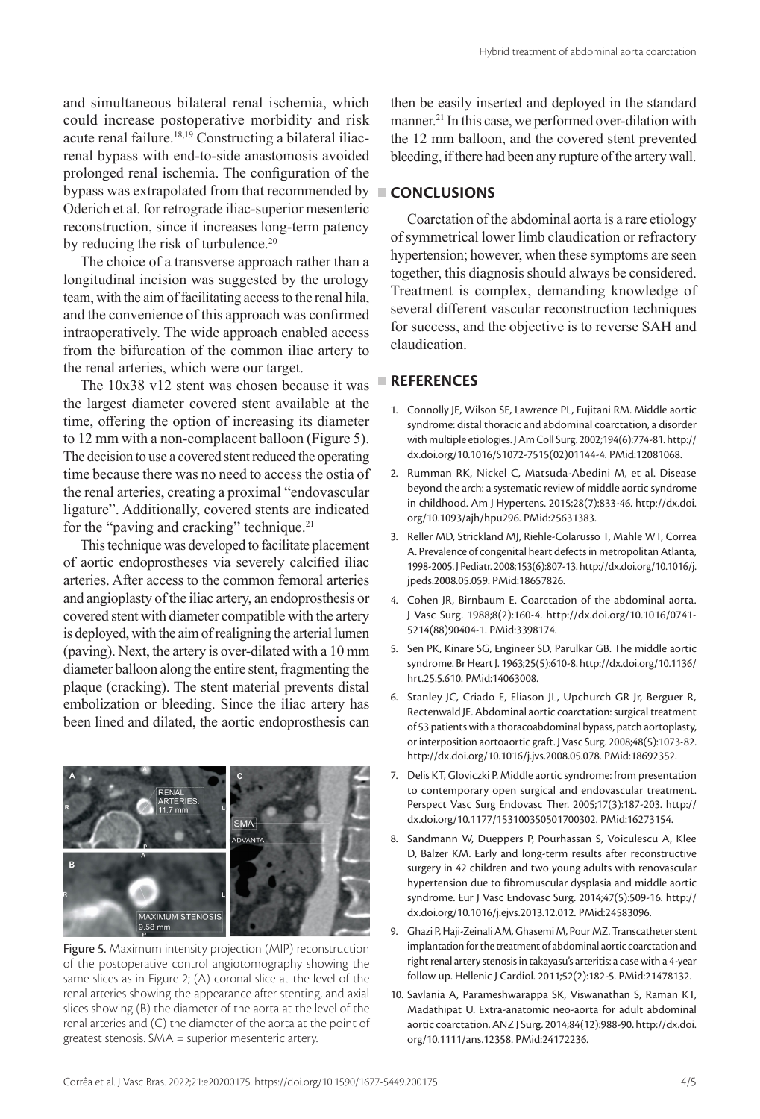and simultaneous bilateral renal ischemia, which could increase postoperative morbidity and risk acute renal failure.18,19 Constructing a bilateral iliacrenal bypass with end-to-side anastomosis avoided prolonged renal ischemia. The configuration of the bypass was extrapolated from that recommended by **CONCLUSIONS** Oderich et al. for retrograde iliac-superior mesenteric reconstruction, since it increases long-term patency by reducing the risk of turbulence.<sup>20</sup>

The choice of a transverse approach rather than a longitudinal incision was suggested by the urology team, with the aim of facilitating access to the renal hila, and the convenience of this approach was confirmed intraoperatively. The wide approach enabled access from the bifurcation of the common iliac artery to the renal arteries, which were our target.

The 10x38 v12 stent was chosen because it was the largest diameter covered stent available at the time, offering the option of increasing its diameter to 12 mm with a non-complacent balloon (Figure 5). The decision to use a covered stent reduced the operating time because there was no need to access the ostia of the renal arteries, creating a proximal "endovascular ligature". Additionally, covered stents are indicated for the "paving and cracking" technique.<sup>21</sup>

This technique was developed to facilitate placement of aortic endoprostheses via severely calcified iliac arteries. After access to the common femoral arteries and angioplasty of the iliac artery, an endoprosthesis or covered stent with diameter compatible with the artery is deployed, with the aim of realigning the arterial lumen (paving). Next, the artery is over-dilated with a 10 mm diameter balloon along the entire stent, fragmenting the plaque (cracking). The stent material prevents distal embolization or bleeding. Since the iliac artery has been lined and dilated, the aortic endoprosthesis can



Figure 5. Maximum intensity projection (MIP) reconstruction of the postoperative control angiotomography showing the same slices as in Figure 2; (A) coronal slice at the level of the renal arteries showing the appearance after stenting, and axial slices showing (B) the diameter of the aorta at the level of the renal arteries and (C) the diameter of the aorta at the point of greatest stenosis. SMA = superior mesenteric artery.

then be easily inserted and deployed in the standard manner.<sup>21</sup> In this case, we performed over-dilation with the 12 mm balloon, and the covered stent prevented bleeding, if there had been any rupture of the artery wall.

Coarctation of the abdominal aorta is a rare etiology of symmetrical lower limb claudication or refractory hypertension; however, when these symptoms are seen together, this diagnosis should always be considered. Treatment is complex, demanding knowledge of several different vascular reconstruction techniques for success, and the objective is to reverse SAH and claudication.

### **REFERENCES**

- 1. Connolly JE, Wilson SE, Lawrence PL, Fujitani RM. Middle aortic syndrome: distal thoracic and abdominal coarctation, a disorder with multiple etiologies. J Am Coll Surg. 2002;194(6):774-81. [http://](https://doi.org/10.1016/S1072-7515(02)01144-4) [dx.doi.org/10.1016/S1072-7515\(02\)01144-4](https://doi.org/10.1016/S1072-7515(02)01144-4). [PMid:12081068.](https://www.ncbi.nlm.nih.gov/entrez/query.fcgi?cmd=Retrieve&db=PubMed&list_uids=12081068&dopt=Abstract)
- 2. Rumman RK, Nickel C, Matsuda-Abedini M, et al. Disease beyond the arch: a systematic review of middle aortic syndrome in childhood. Am J Hypertens. 2015;28(7):833-46. [http://dx.doi.](https://doi.org/10.1093/ajh/hpu296) [org/10.1093/ajh/hpu296.](https://doi.org/10.1093/ajh/hpu296) [PMid:25631383.](https://www.ncbi.nlm.nih.gov/entrez/query.fcgi?cmd=Retrieve&db=PubMed&list_uids=25631383&dopt=Abstract)
- 3. Reller MD, Strickland MJ, Riehle-Colarusso T, Mahle WT, Correa A. Prevalence of congenital heart defects in metropolitan Atlanta, 1998-2005. J Pediatr. 2008;153(6):807-13. [http://dx.doi.org/10.1016/j.](https://doi.org/10.1016/j.jpeds.2008.05.059) [jpeds.2008.05.059.](https://doi.org/10.1016/j.jpeds.2008.05.059) [PMid:18657826.](https://www.ncbi.nlm.nih.gov/entrez/query.fcgi?cmd=Retrieve&db=PubMed&list_uids=18657826&dopt=Abstract)
- 4. Cohen JR, Birnbaum E. Coarctation of the abdominal aorta. J Vasc Surg. 1988;8(2):160-4. [http://dx.doi.org/10.1016/0741-](https://doi.org/10.1016/0741-5214(88)90404-1) [5214\(88\)90404-1.](https://doi.org/10.1016/0741-5214(88)90404-1) [PMid:3398174.](https://www.ncbi.nlm.nih.gov/entrez/query.fcgi?cmd=Retrieve&db=PubMed&list_uids=3398174&dopt=Abstract)
- 5. Sen PK, Kinare SG, Engineer SD, Parulkar GB. The middle aortic syndrome. Br Heart J. 1963;25(5):610-8. [http://dx.doi.org/10.1136/](https://doi.org/10.1136/hrt.25.5.610) [hrt.25.5.610.](https://doi.org/10.1136/hrt.25.5.610) [PMid:14063008.](https://www.ncbi.nlm.nih.gov/entrez/query.fcgi?cmd=Retrieve&db=PubMed&list_uids=14063008&dopt=Abstract)
- 6. Stanley JC, Criado E, Eliason JL, Upchurch GR Jr, Berguer R, Rectenwald JE. Abdominal aortic coarctation: surgical treatment of 53 patients with a thoracoabdominal bypass, patch aortoplasty, or interposition aortoaortic graft. J Vasc Surg. 2008;48(5):1073-82. [http://dx.doi.org/10.1016/j.jvs.2008.05.078.](https://doi.org/10.1016/j.jvs.2008.05.078) [PMid:18692352.](https://www.ncbi.nlm.nih.gov/entrez/query.fcgi?cmd=Retrieve&db=PubMed&list_uids=18692352&dopt=Abstract)
- 7. Delis KT, Gloviczki P. Middle aortic syndrome: from presentation to contemporary open surgical and endovascular treatment. Perspect Vasc Surg Endovasc Ther. 2005;17(3):187-203. [http://](https://doi.org/10.1177/153100350501700302) [dx.doi.org/10.1177/153100350501700302](https://doi.org/10.1177/153100350501700302)[. PMid:16273154.](https://www.ncbi.nlm.nih.gov/entrez/query.fcgi?cmd=Retrieve&db=PubMed&list_uids=16273154&dopt=Abstract)
- 8. Sandmann W, Dueppers P, Pourhassan S, Voiculescu A, Klee D, Balzer KM. Early and long-term results after reconstructive surgery in 42 children and two young adults with renovascular hypertension due to fibromuscular dysplasia and middle aortic syndrome. Eur J Vasc Endovasc Surg. 2014;47(5):509-16. [http://](https://doi.org/10.1016/j.ejvs.2013.12.012) [dx.doi.org/10.1016/j.ejvs.2013.12.012](https://doi.org/10.1016/j.ejvs.2013.12.012). [PMid:24583096.](https://www.ncbi.nlm.nih.gov/entrez/query.fcgi?cmd=Retrieve&db=PubMed&list_uids=24583096&dopt=Abstract)
- 9. Ghazi P, Haji-Zeinali AM, Ghasemi M, Pour MZ. Transcatheter stent implantation for the treatment of abdominal aortic coarctation and right renal artery stenosis in takayasu's arteritis: a case with a 4-year follow up. Hellenic J Cardiol. 2011;52(2):182-5. [PMid:21478132.](https://www.ncbi.nlm.nih.gov/entrez/query.fcgi?cmd=Retrieve&db=PubMed&list_uids=21478132&dopt=Abstract)
- 10. Savlania A, Parameshwarappa SK, Viswanathan S, Raman KT, Madathipat U. Extra-anatomic neo-aorta for adult abdominal aortic coarctation. ANZ J Surg. 2014;84(12):988-90. [http://dx.doi.](https://doi.org/10.1111/ans.12358) [org/10.1111/ans.12358](https://doi.org/10.1111/ans.12358). [PMid:24172236.](https://www.ncbi.nlm.nih.gov/entrez/query.fcgi?cmd=Retrieve&db=PubMed&list_uids=24172236&dopt=Abstract)